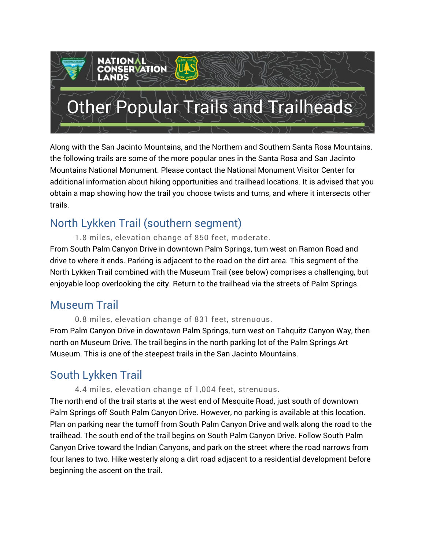# **ATION** Other Popular Trails and Trailheads

Along with the San Jacinto Mountains, and the Northern and Southern Santa Rosa Mountains, the following trails are some of the more popular ones in the Santa Rosa and San Jacinto Mountains National Monument. Please contact the National Monument Visitor Center for additional information about hiking opportunities and trailhead locations. It is advised that you obtain a map showing how the trail you choose twists and turns, and where it intersects other trails.

# North Lykken Trail (southern segment)

1.8 miles, elevation change of 850 feet, moderate.

From South Palm Canyon Drive in downtown Palm Springs, turn west on Ramon Road and drive to where it ends. Parking is adjacent to the road on the dirt area. This segment of the North Lykken Trail combined with the Museum Trail (see below) comprises a challenging, but enjoyable loop overlooking the city. Return to the trailhead via the streets of Palm Springs.

## Museum Trail

0.8 miles, elevation change of 831 feet, strenuous.

From Palm Canyon Drive in downtown Palm Springs, turn west on Tahquitz Canyon Way, then north on Museum Drive. The trail begins in the north parking lot of the Palm Springs Art Museum. This is one of the steepest trails in the San Jacinto Mountains.

# South Lykken Trail

#### 4.4 miles, elevation change of 1,004 feet, strenuous.

The north end of the trail starts at the west end of Mesquite Road, just south of downtown Palm Springs off South Palm Canyon Drive. However, no parking is available at this location. Plan on parking near the turnoff from South Palm Canyon Drive and walk along the road to the trailhead. The south end of the trail begins on South Palm Canyon Drive. Follow South Palm Canyon Drive toward the Indian Canyons, and park on the street where the road narrows from four lanes to two. Hike westerly along a dirt road adjacent to a residential development before beginning the ascent on the trail.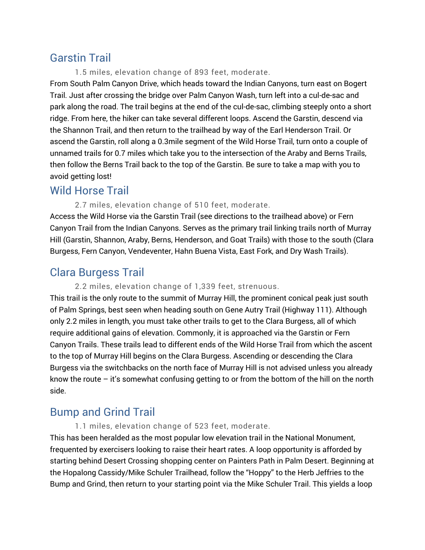## Garstin Trail

1.5 miles, elevation change of 893 feet, moderate.

From South Palm Canyon Drive, which heads toward the Indian Canyons, turn east on Bogert Trail. Just after crossing the bridge over Palm Canyon Wash, turn left into a cul-de-sac and park along the road. The trail begins at the end of the cul-de-sac, climbing steeply onto a short ridge. From here, the hiker can take several different loops. Ascend the Garstin, descend via the Shannon Trail, and then return to the trailhead by way of the Earl Henderson Trail. Or ascend the Garstin, roll along a 0.3mile segment of the Wild Horse Trail, turn onto a couple of unnamed trails for 0.7 miles which take you to the intersection of the Araby and Berns Trails, then follow the Berns Trail back to the top of the Garstin. Be sure to take a map with you to avoid getting lost!

### Wild Horse Trail

#### 2.7 miles, elevation change of 510 feet, moderate.

Access the Wild Horse via the Garstin Trail (see directions to the trailhead above) or Fern Canyon Trail from the Indian Canyons. Serves as the primary trail linking trails north of Murray Hill (Garstin, Shannon, Araby, Berns, Henderson, and Goat Trails) with those to the south (Clara Burgess, Fern Canyon, Vendeventer, Hahn Buena Vista, East Fork, and Dry Wash Trails).

## Clara Burgess Trail

#### 2.2 miles, elevation change of 1,339 feet, strenuous.

This trail is the only route to the summit of Murray Hill, the prominent conical peak just south of Palm Springs, best seen when heading south on Gene Autry Trail (Highway 111). Although only 2.2 miles in length, you must take other trails to get to the Clara Burgess, all of which require additional gains of elevation. Commonly, it is approached via the Garstin or Fern Canyon Trails. These trails lead to different ends of the Wild Horse Trail from which the ascent to the top of Murray Hill begins on the Clara Burgess. Ascending or descending the Clara Burgess via the switchbacks on the north face of Murray Hill is not advised unless you already know the route – it's somewhat confusing getting to or from the bottom of the hill on the north side.

## Bump and Grind Trail

1.1 miles, elevation change of 523 feet, moderate.

This has been heralded as the most popular low elevation trail in the National Monument, frequented by exercisers looking to raise their heart rates. A loop opportunity is afforded by starting behind Desert Crossing shopping center on Painters Path in Palm Desert. Beginning at the Hopalong Cassidy/Mike Schuler Trailhead, follow the "Hoppy" to the Herb Jeffries to the Bump and Grind, then return to your starting point via the Mike Schuler Trail. This yields a loop